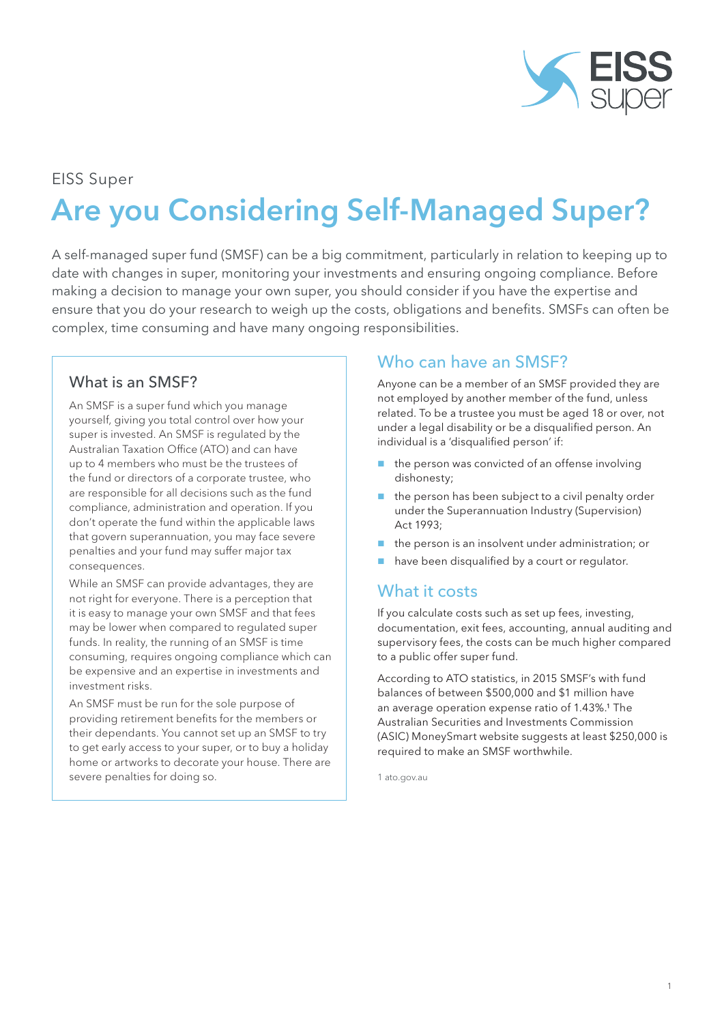

### EISS Super

# Are you Considering Self-Managed Super?

A self-managed super fund (SMSF) can be a big commitment, particularly in relation to keeping up to date with changes in super, monitoring your investments and ensuring ongoing compliance. Before making a decision to manage your own super, you should consider if you have the expertise and ensure that you do your research to weigh up the costs, obligations and benefits. SMSFs can often be complex, time consuming and have many ongoing responsibilities.

#### What is an SMSF?

An SMSF is a super fund which you manage yourself, giving you total control over how your super is invested. An SMSF is regulated by the Australian Taxation Office (ATO) and can have up to 4 members who must be the trustees of the fund or directors of a corporate trustee, who are responsible for all decisions such as the fund compliance, administration and operation. If you don't operate the fund within the applicable laws that govern superannuation, you may face severe penalties and your fund may suffer major tax consequences.

While an SMSF can provide advantages, they are not right for everyone. There is a perception that it is easy to manage your own SMSF and that fees may be lower when compared to regulated super funds. In reality, the running of an SMSF is time consuming, requires ongoing compliance which can be expensive and an expertise in investments and investment risks.

An SMSF must be run for the sole purpose of providing retirement benefits for the members or their dependants. You cannot set up an SMSF to try to get early access to your super, or to buy a holiday home or artworks to decorate your house. There are severe penalties for doing so.

# Who can have an SMSF?

Anyone can be a member of an SMSF provided they are not employed by another member of the fund, unless related. To be a trustee you must be aged 18 or over, not under a legal disability or be a disqualified person. An individual is a 'disqualified person' if:

- the person was convicted of an offense involving dishonesty;
- $\blacksquare$  the person has been subject to a civil penalty order under the Superannuation Industry (Supervision) Act 1993;
- $\blacksquare$  the person is an insolvent under administration; or
- have been disqualified by a court or regulator.

# What it costs

If you calculate costs such as set up fees, investing, documentation, exit fees, accounting, annual auditing and supervisory fees, the costs can be much higher compared to a public offer super fund.

According to ATO statistics, in 2015 SMSF's with fund balances of between \$500,000 and \$1 million have an average operation expense ratio of 1.43%.<sup>1</sup> The Australian Securities and Investments Commission (ASIC) MoneySmart website suggests at least \$250,000 is required to make an SMSF worthwhile.

1 ato.gov.au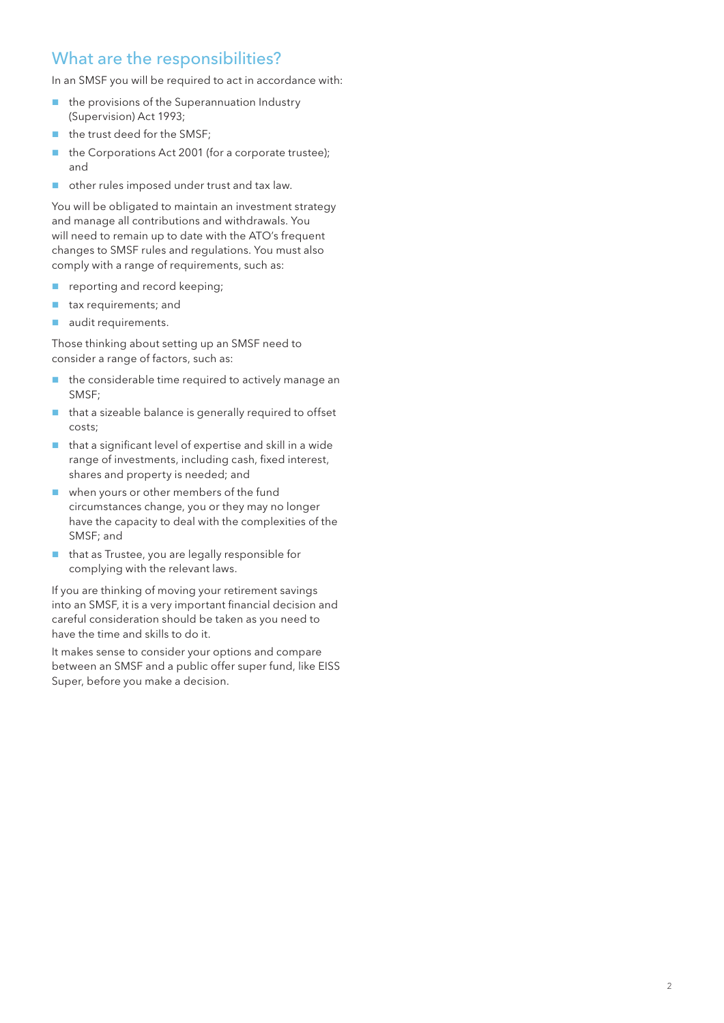# What are the responsibilities?

In an SMSF you will be required to act in accordance with:

- $\blacksquare$  the provisions of the Superannuation Industry (Supervision) Act 1993;
- the trust deed for the SMSF;
- the Corporations Act 2001 (for a corporate trustee); and
- other rules imposed under trust and tax law.

You will be obligated to maintain an investment strategy and manage all contributions and withdrawals. You will need to remain up to date with the ATO's frequent changes to SMSF rules and regulations. You must also comply with a range of requirements, such as:

- **r** reporting and record keeping;
- **tax requirements; and**
- audit requirements.

Those thinking about setting up an SMSF need to consider a range of factors, such as:

- $\blacksquare$  the considerable time required to actively manage an SMSF;
- $\blacksquare$  that a sizeable balance is generally required to offset costs;
- $\blacksquare$  that a significant level of expertise and skill in a wide range of investments, including cash, fixed interest, shares and property is needed; and
- when yours or other members of the fund circumstances change, you or they may no longer have the capacity to deal with the complexities of the SMSF; and
- $\blacksquare$  that as Trustee, you are legally responsible for complying with the relevant laws.

If you are thinking of moving your retirement savings into an SMSF, it is a very important financial decision and careful consideration should be taken as you need to have the time and skills to do it.

It makes sense to consider your options and compare between an SMSF and a public offer super fund, like EISS Super, before you make a decision.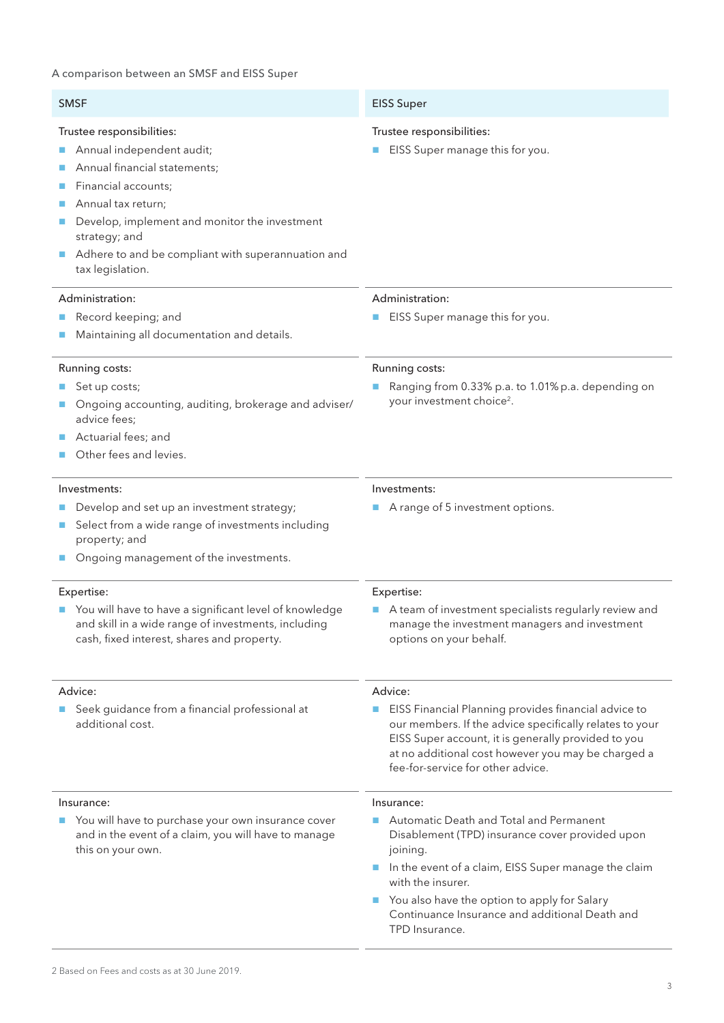#### A comparison between an SMSF and EISS Super

| <b>SMSF</b>                                                                                                                                                                                                                                                                     | <b>EISS Super</b>                                                                                                                                                                                                                                                                                                                       |
|---------------------------------------------------------------------------------------------------------------------------------------------------------------------------------------------------------------------------------------------------------------------------------|-----------------------------------------------------------------------------------------------------------------------------------------------------------------------------------------------------------------------------------------------------------------------------------------------------------------------------------------|
| Trustee responsibilities:<br>Annual independent audit;<br>Annual financial statements;<br>Financial accounts;<br>Annual tax return;<br>Develop, implement and monitor the investment<br>strategy; and<br>Adhere to and be compliant with superannuation and<br>tax legislation. | Trustee responsibilities:<br>EISS Super manage this for you.<br>$\mathcal{L}_{\mathcal{A}}$                                                                                                                                                                                                                                             |
| Administration:<br>Record keeping; and<br>Maintaining all documentation and details.                                                                                                                                                                                            | Administration:<br>EISS Super manage this for you.                                                                                                                                                                                                                                                                                      |
| Running costs:<br>Set up costs;<br>Ongoing accounting, auditing, brokerage and adviser/<br>advice fees;<br>Actuarial fees; and<br>Other fees and levies.                                                                                                                        | Running costs:<br>Ranging from 0.33% p.a. to 1.01% p.a. depending on<br>your investment choice <sup>2</sup> .                                                                                                                                                                                                                           |
| Investments:<br>Develop and set up an investment strategy;<br>Select from a wide range of investments including<br>property; and<br>Ongoing management of the investments.                                                                                                      | Investments:<br>A range of 5 investment options.                                                                                                                                                                                                                                                                                        |
| Expertise:<br>You will have to have a significant level of knowledge<br>and skill in a wide range of investments, including<br>cash, fixed interest, shares and property.                                                                                                       | Expertise:<br>A team of investment specialists regularly review and<br>manage the investment managers and investment<br>options on your behalf.                                                                                                                                                                                         |
| Advice:<br>Seek guidance from a financial professional at<br>n.<br>additional cost.                                                                                                                                                                                             | Advice:<br>EISS Financial Planning provides financial advice to<br>$\mathcal{L}_{\mathcal{A}}$<br>our members. If the advice specifically relates to your<br>EISS Super account, it is generally provided to you<br>at no additional cost however you may be charged a<br>fee-for-service for other advice.                             |
| Insurance:<br>You will have to purchase your own insurance cover<br>and in the event of a claim, you will have to manage<br>this on your own.                                                                                                                                   | Insurance:<br>Automatic Death and Total and Permanent<br>Disablement (TPD) insurance cover provided upon<br>joining.<br>In the event of a claim, EISS Super manage the claim<br>$\mathbb{R}^n$<br>with the insurer.<br>You also have the option to apply for Salary<br>Continuance Insurance and additional Death and<br>TPD Insurance. |